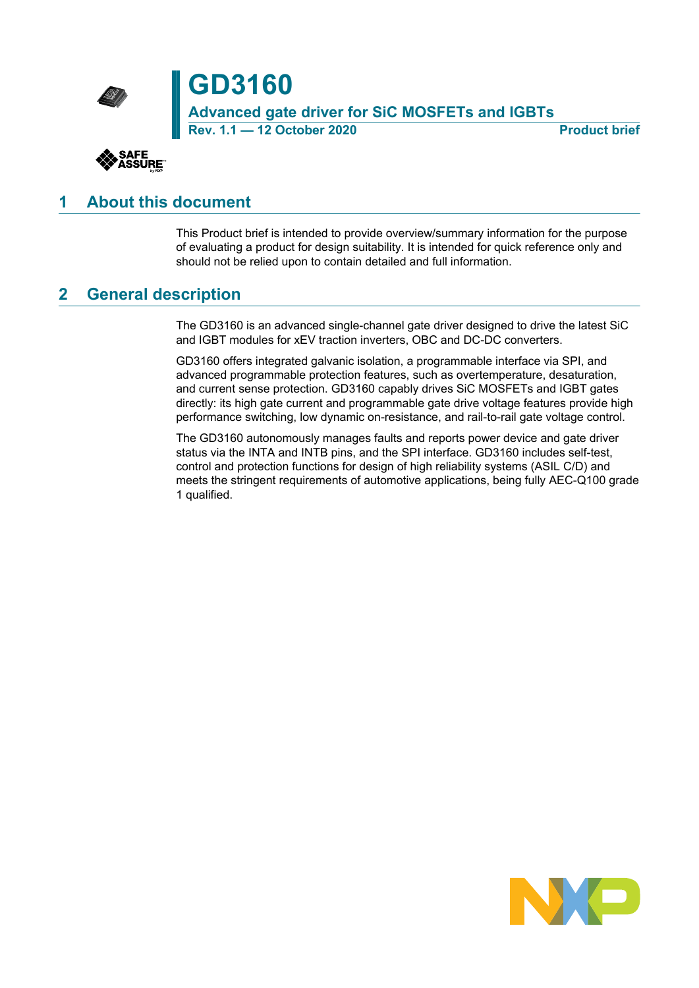



## <span id="page-0-0"></span>**1 About this document**

This Product brief is intended to provide overview/summary information for the purpose of evaluating a product for design suitability. It is intended for quick reference only and should not be relied upon to contain detailed and full information.

## <span id="page-0-1"></span>**2 General description**

The GD3160 is an advanced single-channel gate driver designed to drive the latest SiC and IGBT modules for xEV traction inverters, OBC and DC-DC converters.

GD3160 offers integrated galvanic isolation, a programmable interface via SPI, and advanced programmable protection features, such as overtemperature, desaturation, and current sense protection. GD3160 capably drives SiC MOSFETs and IGBT gates directly: its high gate current and programmable gate drive voltage features provide high performance switching, low dynamic on-resistance, and rail-to-rail gate voltage control.

The GD3160 autonomously manages faults and reports power device and gate driver status via the INTA and INTB pins, and the SPI interface. GD3160 includes self-test, control and protection functions for design of high reliability systems (ASIL C/D) and meets the stringent requirements of automotive applications, being fully AEC-Q100 grade 1 qualified.

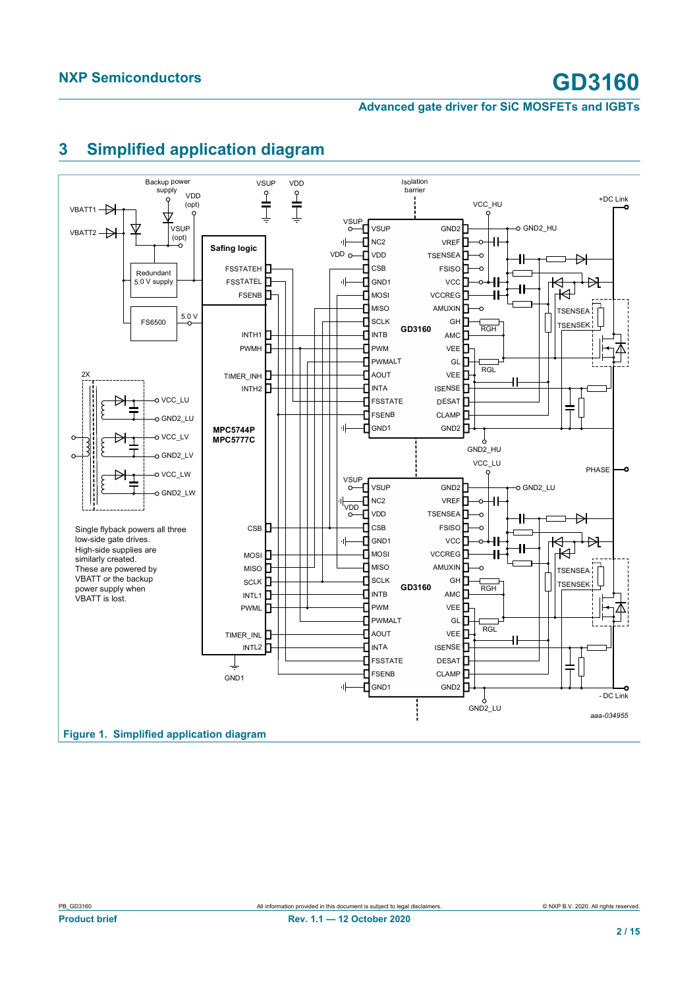

## <span id="page-1-1"></span><span id="page-1-0"></span>**3 Simplified application diagram**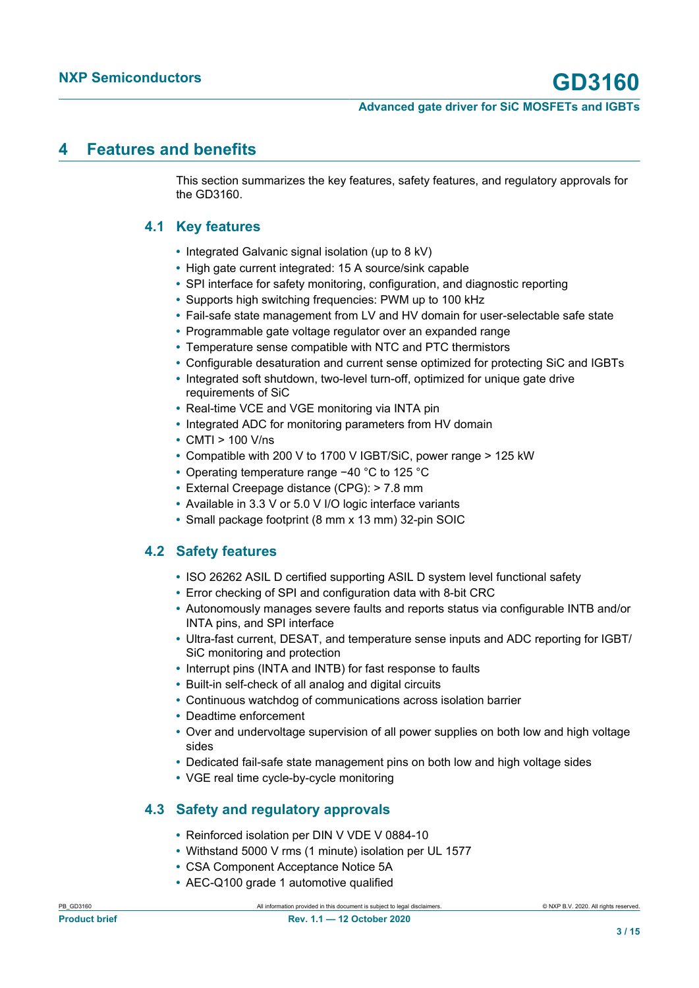## <span id="page-2-3"></span>**4 Features and benefits**

This section summarizes the key features, safety features, and regulatory approvals for the GD3160.

### **4.1 Key features**

- <span id="page-2-0"></span>**•** Integrated Galvanic signal isolation (up to 8 kV)
- **•** High gate current integrated: 15 A source/sink capable
- **•** SPI interface for safety monitoring, configuration, and diagnostic reporting
- **•** Supports high switching frequencies: PWM up to 100 kHz
- **•** Fail-safe state management from LV and HV domain for user-selectable safe state
- **•** Programmable gate voltage regulator over an expanded range
- **•** Temperature sense compatible with NTC and PTC thermistors
- **•** Configurable desaturation and current sense optimized for protecting SiC and IGBTs
- **•** Integrated soft shutdown, two-level turn-off, optimized for unique gate drive requirements of SiC
- **•** Real-time VCE and VGE monitoring via INTA pin
- **•** Integrated ADC for monitoring parameters from HV domain
- **•** CMTI > 100 V/ns
- **•** Compatible with 200 V to 1700 V IGBT/SiC, power range > 125 kW
- **•** Operating temperature range −40 °C to 125 °C
- **•** External Creepage distance (CPG): > 7.8 mm
- **•** Available in 3.3 V or 5.0 V I/O logic interface variants
- <span id="page-2-1"></span>**•** Small package footprint (8 mm x 13 mm) 32-pin SOIC

### **4.2 Safety features**

- **•** ISO 26262 ASIL D certified supporting ASIL D system level functional safety
- **•** Error checking of SPI and configuration data with 8-bit CRC
- **•** Autonomously manages severe faults and reports status via configurable INTB and/or INTA pins, and SPI interface
- **•** Ultra-fast current, DESAT, and temperature sense inputs and ADC reporting for IGBT/ SiC monitoring and protection
- **•** Interrupt pins (INTA and INTB) for fast response to faults
- **•** Built-in self-check of all analog and digital circuits
- **•** Continuous watchdog of communications across isolation barrier
- **•** Deadtime enforcement
- **•** Over and undervoltage supervision of all power supplies on both low and high voltage sides
- **•** Dedicated fail-safe state management pins on both low and high voltage sides
- <span id="page-2-2"></span>**•** VGE real time cycle-by-cycle monitoring

### **4.3 Safety and regulatory approvals**

- **•** Reinforced isolation per DIN V VDE V 0884-10
- **•** Withstand 5000 V rms (1 minute) isolation per UL 1577
- **•** CSA Component Acceptance Notice 5A
- **•** AEC-Q100 grade 1 automotive qualified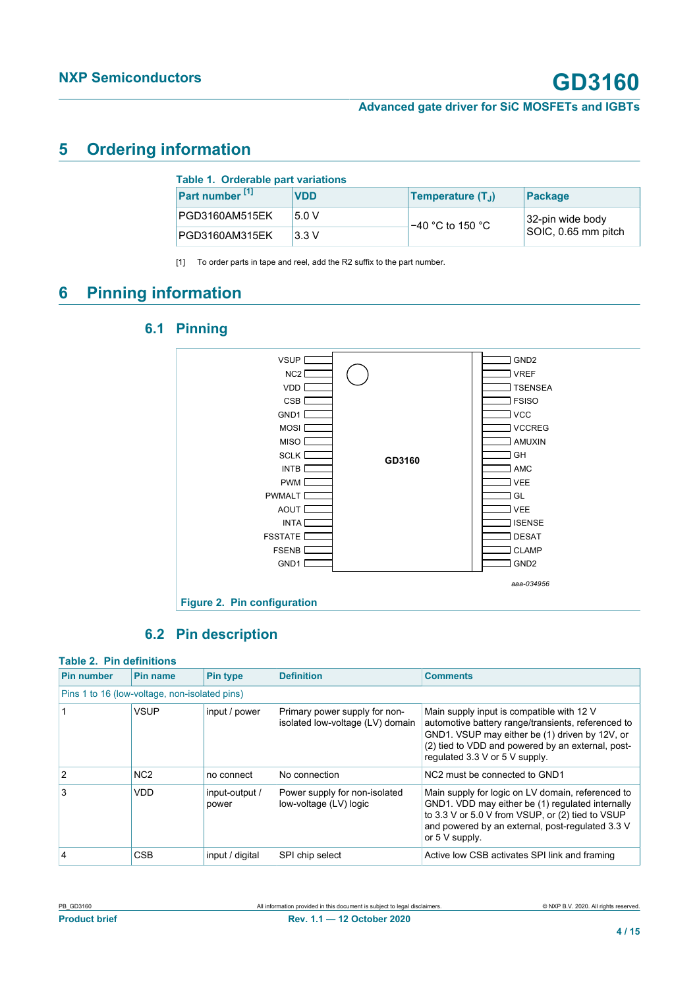## <span id="page-3-1"></span>**5 Ordering information**

<span id="page-3-6"></span><span id="page-3-0"></span>

| Table 1. Orderable part variations |            |                               |                     |
|------------------------------------|------------|-------------------------------|---------------------|
| Part number <sup>[1]</sup>         | <b>VDD</b> | Temperature (T <sub>1</sub> ) | Package             |
| PGD3160AM515EK                     | 5.0V       | $-40$ °C to 150 °C            | 32-pin wide body    |
| PGD3160AM315EK                     | 3.3V       |                               | SOIC, 0.65 mm pitch |

[1] To order parts in tape and reel, add the R2 suffix to the part number.

## <span id="page-3-7"></span>**6 Pinning information**

**6.1 Pinning**

### <span id="page-3-3"></span><span id="page-3-2"></span>**GD3160**  $\Box$  VCC  $\Box$  CLAMP DESAT **TSENSEA**  $\Box$  FSISO  $\exists$  GH  $\exists$  GL  $\Box$  AMC  $\Box$  ISENSE **J** VREF AMUXIN  $\Box$  GND2  $\exists$  GND2 VEE **J** VCCREG VEE FSSTATE<sub>L</sub> AOUT<sub>L</sub> PWMALT **L** PWM INTB<sub>L</sub> INTA GND<sub>1</sub> FSENB VSUP<sup>L</sup> *aaa-034956* NC<sub>2</sub> VDD CSB<sub>L</sub> SCLK<sub>L</sub> MISO<sub>L</sub> MOSI<sub>L</sub> GND1 **Figure 2. Pin configuration**

### <span id="page-3-5"></span><span id="page-3-4"></span>**6.2 Pin description**

### **Table 2. Pin definitions**

| <b>Pin number</b>                             | <b>Pin name</b> | <b>Pin type</b>         | <b>Definition</b>                                                 | <b>Comments</b>                                                                                                                                                                                                                          |
|-----------------------------------------------|-----------------|-------------------------|-------------------------------------------------------------------|------------------------------------------------------------------------------------------------------------------------------------------------------------------------------------------------------------------------------------------|
| Pins 1 to 16 (low-voltage, non-isolated pins) |                 |                         |                                                                   |                                                                                                                                                                                                                                          |
|                                               | <b>VSUP</b>     | input / power           | Primary power supply for non-<br>isolated low-voltage (LV) domain | Main supply input is compatible with 12 V<br>automotive battery range/transients, referenced to<br>GND1. VSUP may either be (1) driven by 12V, or<br>(2) tied to VDD and powered by an external, post-<br>regulated 3.3 V or 5 V supply. |
| $\overline{2}$                                | N <sub>C2</sub> | no connect              | No connection                                                     | NC <sub>2</sub> must be connected to GND <sub>1</sub>                                                                                                                                                                                    |
| 3                                             | <b>VDD</b>      | input-output /<br>power | Power supply for non-isolated<br>low-voltage (LV) logic           | Main supply for logic on LV domain, referenced to<br>GND1. VDD may either be (1) regulated internally<br>to 3.3 V or 5.0 V from VSUP, or (2) tied to VSUP<br>and powered by an external, post-regulated 3.3 V<br>or 5 V supply.          |
| $\overline{4}$                                | <b>CSB</b>      | input / digital         | SPI chip select                                                   | Active low CSB activates SPI link and framing                                                                                                                                                                                            |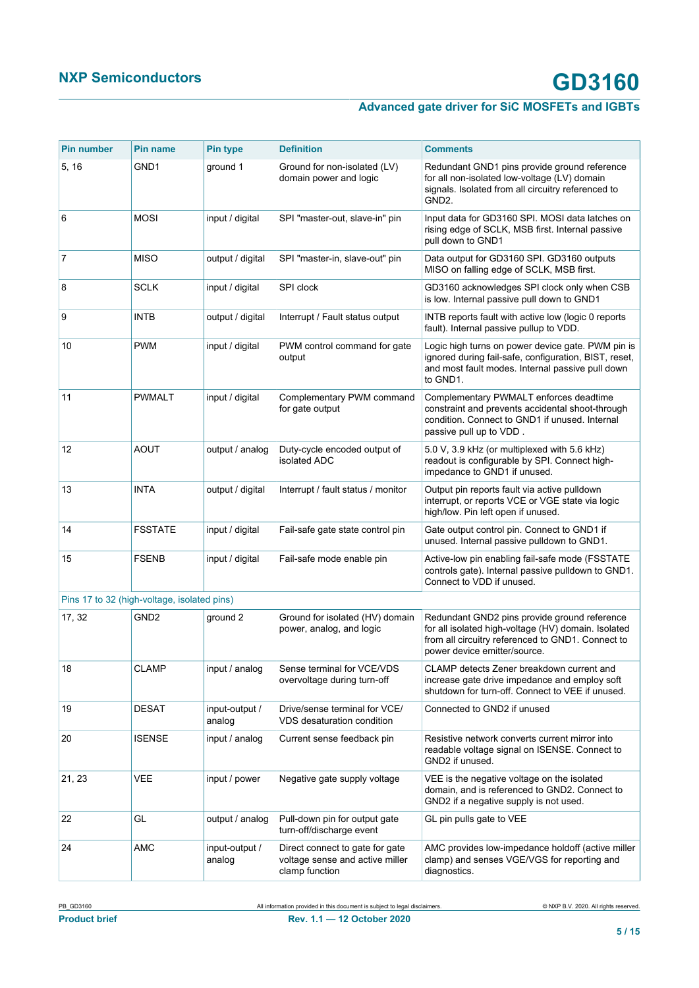| <b>Pin number</b> | <b>Pin name</b>                             | <b>Pin type</b>          | <b>Definition</b>                                                                    | <b>Comments</b>                                                                                                                                                                          |
|-------------------|---------------------------------------------|--------------------------|--------------------------------------------------------------------------------------|------------------------------------------------------------------------------------------------------------------------------------------------------------------------------------------|
| 5, 16             | GND <sub>1</sub>                            | ground 1                 | Ground for non-isolated (LV)<br>domain power and logic                               | Redundant GND1 pins provide ground reference<br>for all non-isolated low-voltage (LV) domain<br>signals. Isolated from all circuitry referenced to<br>GND <sub>2</sub> .                 |
| 6                 | <b>MOSI</b>                                 | input / digital          | SPI "master-out, slave-in" pin                                                       | Input data for GD3160 SPI. MOSI data latches on<br>rising edge of SCLK, MSB first. Internal passive<br>pull down to GND1                                                                 |
| 7                 | <b>MISO</b>                                 | output / digital         | SPI "master-in, slave-out" pin                                                       | Data output for GD3160 SPI. GD3160 outputs<br>MISO on falling edge of SCLK, MSB first.                                                                                                   |
| 8                 | <b>SCLK</b>                                 | input / digital          | SPI clock                                                                            | GD3160 acknowledges SPI clock only when CSB<br>is low. Internal passive pull down to GND1                                                                                                |
| 9                 | <b>INTB</b>                                 | output / digital         | Interrupt / Fault status output                                                      | INTB reports fault with active low (logic 0 reports<br>fault). Internal passive pullup to VDD.                                                                                           |
| 10                | <b>PWM</b>                                  | input / digital          | PWM control command for gate<br>output                                               | Logic high turns on power device gate. PWM pin is<br>ignored during fail-safe, configuration, BIST, reset,<br>and most fault modes. Internal passive pull down<br>to GND1.               |
| 11                | <b>PWMALT</b>                               | input / digital          | Complementary PWM command<br>for gate output                                         | Complementary PWMALT enforces deadtime<br>constraint and prevents accidental shoot-through<br>condition. Connect to GND1 if unused. Internal<br>passive pull up to VDD.                  |
| 12                | AOUT                                        | output / analog          | Duty-cycle encoded output of<br>isolated ADC                                         | 5.0 V, 3.9 kHz (or multiplexed with 5.6 kHz)<br>readout is configurable by SPI. Connect high-<br>impedance to GND1 if unused.                                                            |
| 13                | <b>INTA</b>                                 | output / digital         | Interrupt / fault status / monitor                                                   | Output pin reports fault via active pulldown<br>interrupt, or reports VCE or VGE state via logic<br>high/low. Pin left open if unused.                                                   |
| 14                | <b>FSSTATE</b>                              | input / digital          | Fail-safe gate state control pin                                                     | Gate output control pin. Connect to GND1 if<br>unused. Internal passive pulldown to GND1.                                                                                                |
| 15                | <b>FSENB</b>                                | input / digital          | Fail-safe mode enable pin                                                            | Active-low pin enabling fail-safe mode (FSSTATE<br>controls gate). Internal passive pulldown to GND1.<br>Connect to VDD if unused.                                                       |
|                   | Pins 17 to 32 (high-voltage, isolated pins) |                          |                                                                                      |                                                                                                                                                                                          |
| 17, 32            | GND <sub>2</sub>                            | ground 2                 | Ground for isolated (HV) domain<br>power, analog, and logic                          | Redundant GND2 pins provide ground reference<br>for all isolated high-voltage (HV) domain. Isolated<br>from all circuitry referenced to GND1. Connect to<br>power device emitter/source. |
| 18                | <b>CLAMP</b>                                | input / analog           | Sense terminal for VCE/VDS<br>overvoltage during turn-off                            | CLAMP detects Zener breakdown current and<br>increase gate drive impedance and employ soft<br>shutdown for turn-off. Connect to VEE if unused.                                           |
| 19                | <b>DESAT</b>                                | input-output /<br>analog | Drive/sense terminal for VCE/<br>VDS desaturation condition                          | Connected to GND2 if unused                                                                                                                                                              |
| 20                | <b>ISENSE</b>                               | input / analog           | Current sense feedback pin                                                           | Resistive network converts current mirror into<br>readable voltage signal on ISENSE. Connect to<br>GND2 if unused.                                                                       |
| 21, 23            | <b>VEE</b>                                  | input / power            | Negative gate supply voltage                                                         | VEE is the negative voltage on the isolated<br>domain, and is referenced to GND2. Connect to<br>GND2 if a negative supply is not used.                                                   |
| 22                | GL                                          | output / analog          | Pull-down pin for output gate<br>turn-off/discharge event                            | GL pin pulls gate to VEE                                                                                                                                                                 |
| 24                | AMC                                         | input-output /<br>analog | Direct connect to gate for gate<br>voltage sense and active miller<br>clamp function | AMC provides low-impedance holdoff (active miller<br>clamp) and senses VGE/VGS for reporting and<br>diagnostics.                                                                         |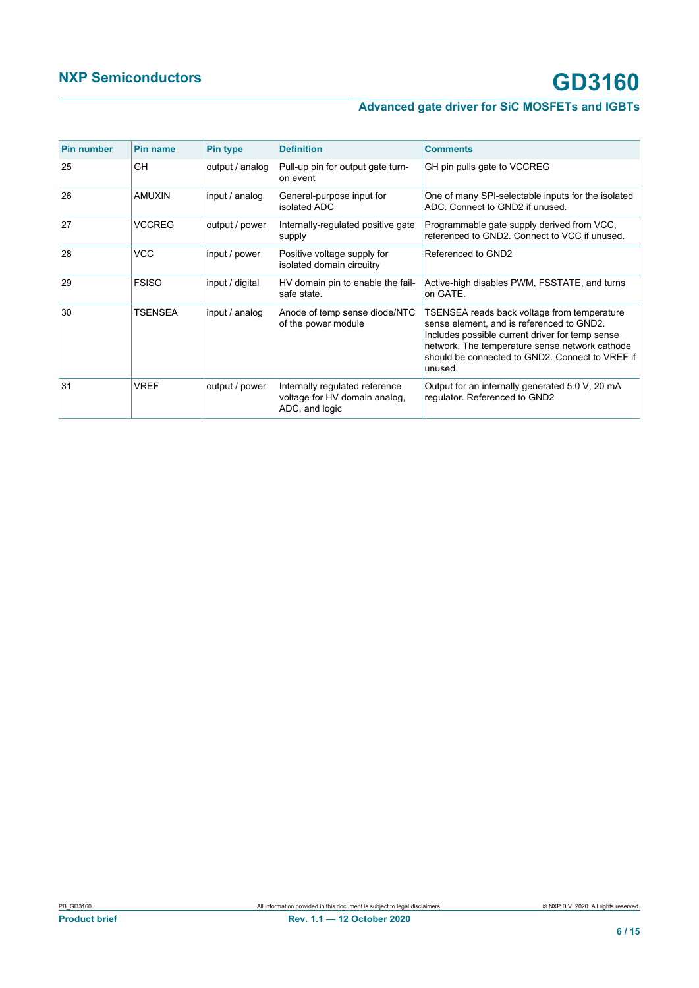| <b>Pin number</b> | <b>Pin name</b> | <b>Pin type</b> | <b>Definition</b>                                                                 | <b>Comments</b>                                                                                                                                                                                                                                             |
|-------------------|-----------------|-----------------|-----------------------------------------------------------------------------------|-------------------------------------------------------------------------------------------------------------------------------------------------------------------------------------------------------------------------------------------------------------|
| 25                | GH              | output / analog | Pull-up pin for output gate turn-<br>on event                                     | GH pin pulls gate to VCCREG                                                                                                                                                                                                                                 |
| 26                | AMUXIN          | input / analog  | General-purpose input for<br>isolated ADC                                         | One of many SPI-selectable inputs for the isolated<br>ADC. Connect to GND2 if unused.                                                                                                                                                                       |
| 27                | <b>VCCREG</b>   | output / power  | Internally-regulated positive gate<br>supply                                      | Programmable gate supply derived from VCC,<br>referenced to GND2. Connect to VCC if unused.                                                                                                                                                                 |
| 28                | <b>VCC</b>      | input / power   | Positive voltage supply for<br>isolated domain circuitry                          | Referenced to GND2                                                                                                                                                                                                                                          |
| 29                | <b>FSISO</b>    | input / digital | HV domain pin to enable the fail-<br>safe state.                                  | Active-high disables PWM, FSSTATE, and turns<br>on GATE.                                                                                                                                                                                                    |
| 30                | <b>TSENSEA</b>  | input / analog  | Anode of temp sense diode/NTC<br>of the power module                              | TSENSEA reads back voltage from temperature<br>sense element, and is referenced to GND2.<br>Includes possible current driver for temp sense<br>network. The temperature sense network cathode<br>should be connected to GND2. Connect to VREF if<br>unused. |
| 31                | VREF            | output / power  | Internally regulated reference<br>voltage for HV domain analog,<br>ADC, and logic | Output for an internally generated 5.0 V, 20 mA<br>regulator. Referenced to GND2                                                                                                                                                                            |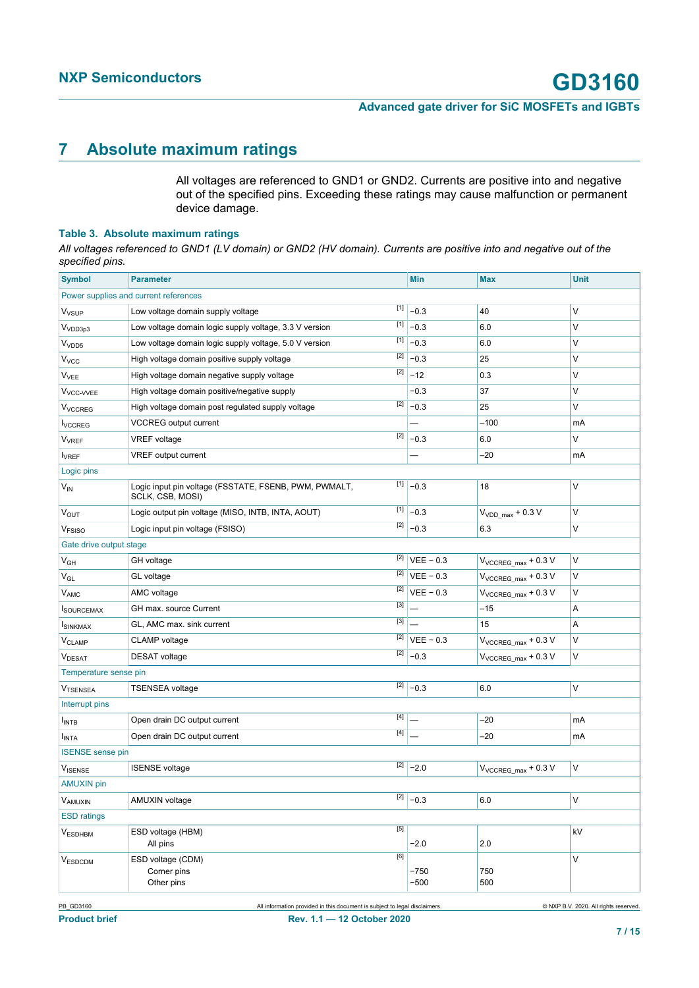## <span id="page-6-0"></span>**7 Absolute maximum ratings**

<span id="page-6-1"></span>All voltages are referenced to GND1 or GND2. Currents are positive into and negative out of the specified pins. Exceeding these ratings may cause malfunction or permanent device damage.

### **Table 3. Absolute maximum ratings**

*All voltages referenced to GND1 (LV domain) or GND2 (HV domain). Currents are positive into and negative out of the specified pins.*

| <b>Symbol</b>             | <b>Parameter</b>                                                          |       | Min                        | <b>Max</b>                       | <b>Unit</b> |
|---------------------------|---------------------------------------------------------------------------|-------|----------------------------|----------------------------------|-------------|
|                           | Power supplies and current references                                     |       |                            |                                  |             |
| V <sub>VSUP</sub>         | Low voltage domain supply voltage                                         | $[1]$ | $-0.3$                     | 40                               | V           |
| V <sub>VDD3p3</sub>       | Low voltage domain logic supply voltage, 3.3 V version                    | $[1]$ | $-0.3$                     | 6.0                              | V           |
| V <sub>VDD5</sub>         | Low voltage domain logic supply voltage, 5.0 V version                    | $[1]$ | $-0.3$                     | 6.0                              | $\vee$      |
| V <sub>VCC</sub>          | High voltage domain positive supply voltage                               | $[2]$ | $-0.3$                     | 25                               | V           |
| <b>V<sub>VEE</sub></b>    | High voltage domain negative supply voltage                               | $[2]$ | $-12$                      | 0.3                              | $\vee$      |
| V <sub>VCC-VVEE</sub>     | High voltage domain positive/negative supply                              |       | $-0.3$                     | 37                               | V           |
| <b>V<sub>VCCREG</sub></b> | High voltage domain post regulated supply voltage                         | $[2]$ | $-0.3$                     | 25                               | V           |
| <b>I</b> vccres           | <b>VCCREG</b> output current                                              |       |                            | $-100$                           | mA          |
| <b>V<sub>VREF</sub></b>   | $[2]$<br><b>VREF</b> voltage                                              |       | $-0.3$                     | 6.0                              | V           |
| <b>I</b> VREF             | VREF output current                                                       |       |                            | $-20$                            | mA          |
| Logic pins                |                                                                           |       |                            |                                  |             |
| $V_{IN}$                  | Logic input pin voltage (FSSTATE, FSENB, PWM, PWMALT,<br>SCLK, CSB, MOSI) | $[1]$ | $-0.3$                     | 18                               | V           |
| V <sub>OUT</sub>          | Logic output pin voltage (MISO, INTB, INTA, AOUT)                         | $[1]$ | $-0.3$                     | $VVDD max + 0.3 V$               | $\vee$      |
| V <sub>FSISO</sub>        | Logic input pin voltage (FSISO)                                           | $[2]$ | $-0.3$                     | 6.3                              | V           |
| Gate drive output stage   |                                                                           |       |                            |                                  |             |
| $V_{GH}$                  | GH voltage                                                                |       | $\boxed{[2]}$ VEE - 0.3    | $V_{VCCREG\_max}$ + 0.3 V        | V           |
| $V_{GL}$                  | GL voltage                                                                |       | $\overline{[2]}$ VEE - 0.3 | $V_{VCCREG max} + 0.3 V$         | $\vee$      |
| VAMC                      | AMC voltage                                                               | $[2]$ | $VEE - 0.3$                | $V_{VCCREG max} + 0.3 V$         | V           |
| <b>SOURCEMAX</b>          | GH max. source Current                                                    | $[3]$ |                            | $-15$                            | Α           |
| <b>ISINKMAX</b>           | GL, AMC max. sink current                                                 | $[3]$ |                            | 15                               | Α           |
| <b>V<sub>CLAMP</sub></b>  | <b>CLAMP</b> voltage                                                      | $[2]$ | $VEE - 0.3$                | V <sub>VCCREG</sub> max + 0.3 V  | $\vee$      |
| V <sub>DESAT</sub>        | $[2]$<br><b>DESAT</b> voltage                                             |       | $-0.3$                     | $V_{VCCREG max} + 0.3 V$         | V           |
| Temperature sense pin     |                                                                           |       |                            |                                  |             |
| <b>VTSENSEA</b>           | <b>TSENSEA</b> voltage                                                    | $[2]$ | $-0.3$                     | 6.0                              | V           |
| Interrupt pins            |                                                                           |       |                            |                                  |             |
| <b>INTB</b>               | Open drain DC output current                                              | [4]   |                            | -20                              | mA          |
| <b>INTA</b>               | Open drain DC output current                                              |       |                            | $-20$                            | mA          |
| <b>ISENSE</b> sense pin   |                                                                           |       |                            |                                  |             |
| V <sub>ISENSE</sub>       | <b>ISENSE</b> voltage                                                     | $[2]$ | $-2.0$                     | $V_{\text{VCCREG\_max}} + 0.3 V$ | $\vee$      |
| <b>AMUXIN pin</b>         |                                                                           |       |                            |                                  |             |
| VAMUXIN                   | AMUXIN voltage                                                            |       | $\boxed{[2]}$ -0.3         | $6.0\,$                          | $\vee$      |
| <b>ESD ratings</b>        |                                                                           |       |                            |                                  |             |
| <b>VESDHBM</b>            | ESD voltage (HBM)<br>All pins                                             | [5]   | $-2.0$                     | 2.0                              | kV          |
| <b>VESDCDM</b>            | ESD voltage (CDM)<br>Corner pins<br>Other pins                            | [6]   | $-750$<br>$-500$           | 750<br>500                       | V           |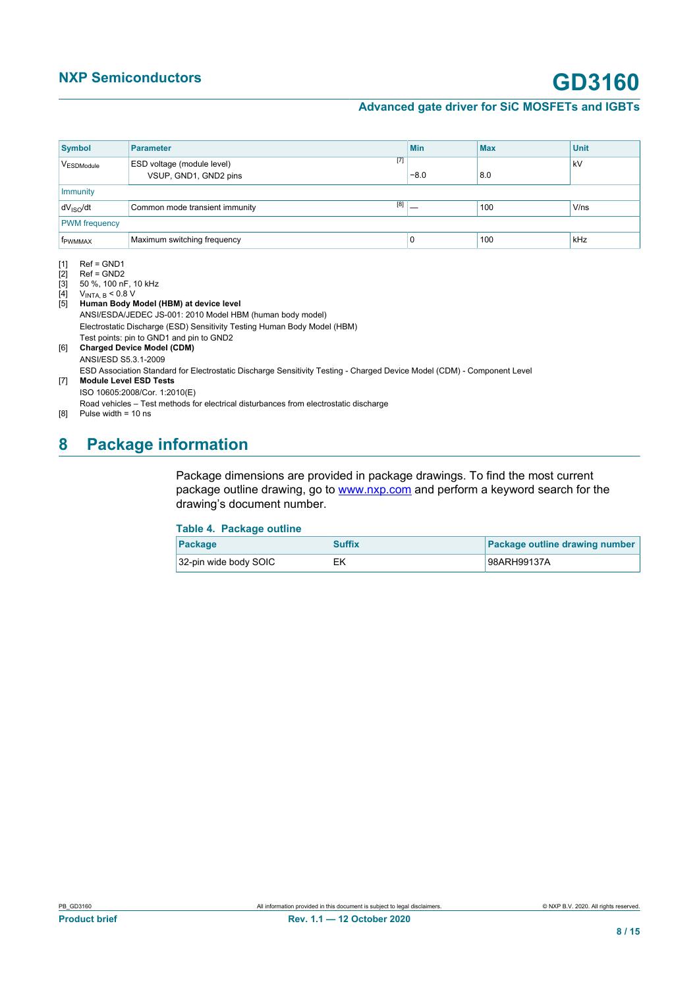## **NXP Semiconductors GD3160**

### **Advanced gate driver for SiC MOSFETs and IGBTs**

<span id="page-7-4"></span><span id="page-7-3"></span><span id="page-7-2"></span><span id="page-7-1"></span><span id="page-7-0"></span>

| <b>Symbol</b>         | <b>Parameter</b>                                             | <b>Min</b> | <b>Max</b> | <b>Unit</b> |
|-----------------------|--------------------------------------------------------------|------------|------------|-------------|
| VESDModule            | $[7]$<br>ESD voltage (module level)<br>VSUP, GND1, GND2 pins | $-8.0$     | 8.0        | kV          |
| Immunity              |                                                              |            |            |             |
| dV <sub>ISO</sub> /dt | [8]<br>Common mode transient immunity                        |            | 100        | V/ns        |
| <b>PWM</b> frequency  |                                                              |            |            |             |
| <b>f</b> PWMMAX       | Maximum switching frequency                                  | u          | 100        | kHz         |

<span id="page-7-6"></span>

<span id="page-7-5"></span>[1] Ref = GND1<br>[2] Ref = GND2<br>[3] 50 %, 100 nl<br>[4]  $V_{INTA, B} < 0.8$  $Ref = GND2$ [3] 50 %, 100 nF, 10 kHz

<span id="page-7-7"></span>

[4] VINTA, B < 0.8 V [5] **Human Body Model (HBM) at device level** ANSI/ESDA/JEDEC JS-001: 2010 Model HBM (human body model) Electrostatic Discharge (ESD) Sensitivity Testing Human Body Model (HBM) Test points: pin to GND1 and pin to GND2 [6] **Charged Device Model (CDM)** ANSI/ESD S5.3.1-2009 ESD Association Standard for Electrostatic Discharge Sensitivity Testing - Charged Device Model (CDM) - Component Level

[7] **Module Level ESD Tests**

ISO 10605:2008/Cor. 1:2010(E)

Road vehicles – Test methods for electrical disturbances from electrostatic discharge

[8] Pulse width = 10 ns

## <span id="page-7-9"></span>**8 Package information**

Package dimensions are provided in package drawings. To find the most current package outline drawing, go to [www.nxp.com](http://www.nxp.com) and perform a keyword search for the drawing's document number.

### <span id="page-7-8"></span>**Table 4. Package outline**

| Package               | <b>Suffix</b> | Package outline drawing number |
|-----------------------|---------------|--------------------------------|
| 32-pin wide body SOIC | EK            | 98ARH99137A                    |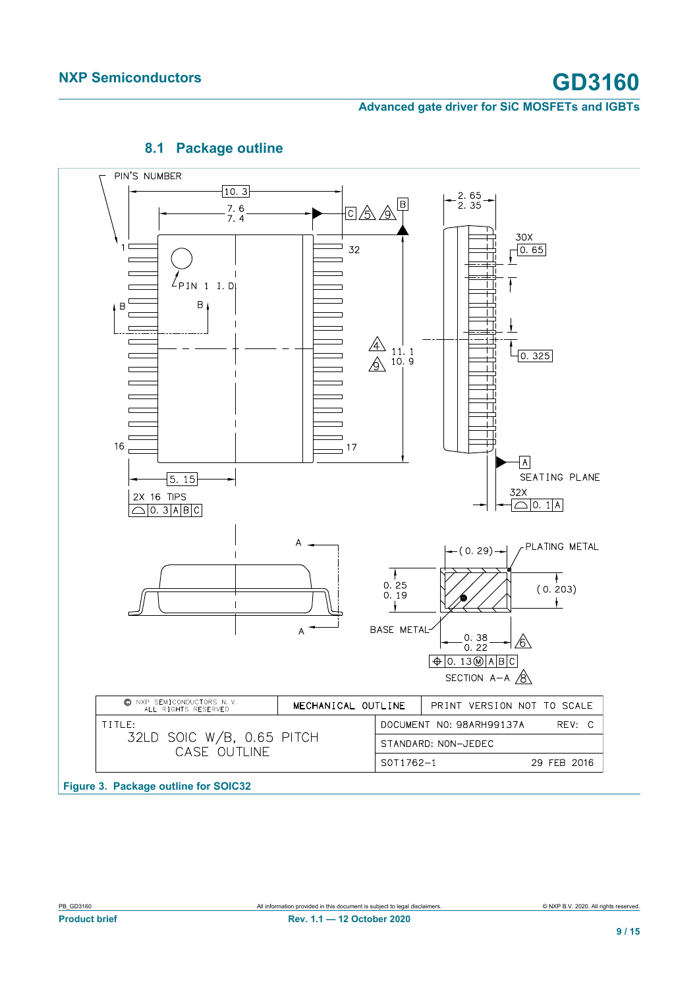

### <span id="page-8-1"></span><span id="page-8-0"></span>**8.1 Package outline**

**Figure 3. Package outline for SOIC32**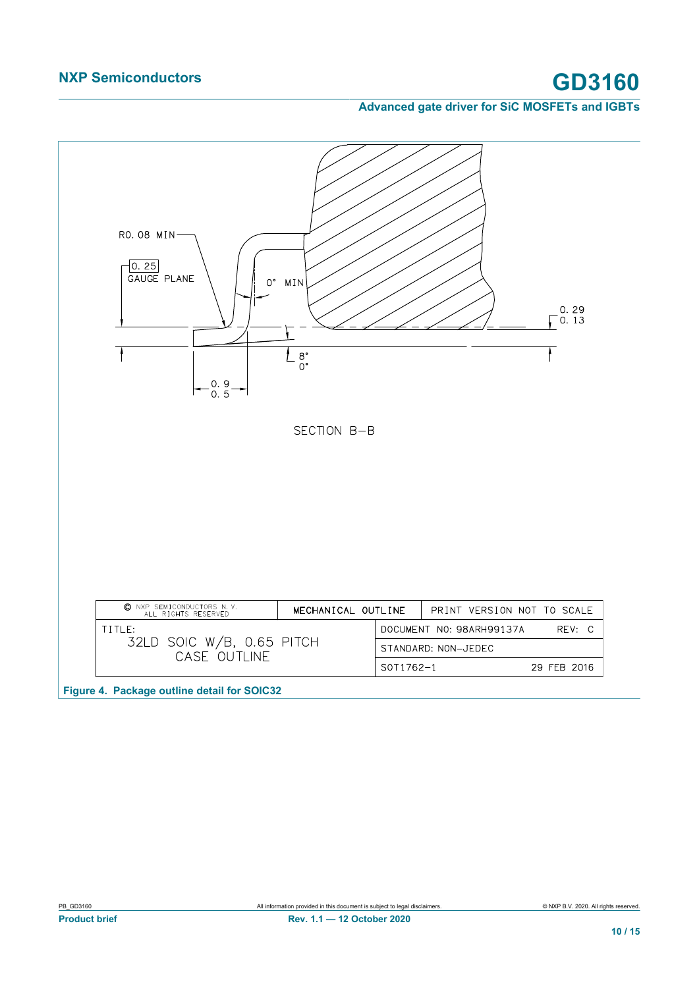## <span id="page-9-0"></span>**NXP Semiconductors GD3160**

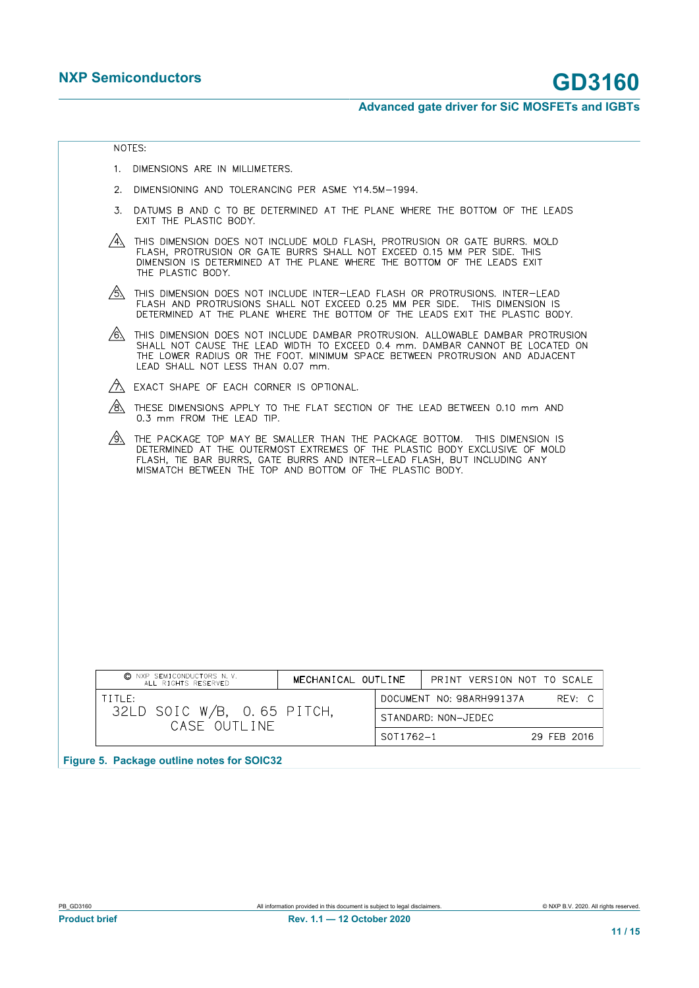<span id="page-10-0"></span>

- 1. DIMENSIONS ARE IN MILLIMETERS.
- 2. DIMENSIONING AND TOLERANCING PER ASME Y14.5M-1994.
- 3. DATUMS B AND C TO BE DETERMINED AT THE PLANE WHERE THE BOTTOM OF THE LEADS EXIT THE PLASTIC BODY.
- $\overbrace{A}$  This dimension does not include mold flash, protrusion or gate burrs. Mold flash, protrusion or gate burrs shall not exceed 0.15 mm per side. This dimension is determined at the plane where the bottom of the lead THE PLASTIC BODY.
- $\overbrace{\mathbb{S}}$  This dimension does not include inter-lead flash or protrusions. Inter-lead Flash and protrusions shall not exceed 0.25 mm per side. This dimension is determined at the plane where the bottom of the leads exit
- $\hat{\mathcal{B}}$  this dimension does not include dambar protrusion. Allowable dambar protrusion SHALL NOT CAUSE THE LEAD WIDTH TO EXCEED 0.4 mm. DAMBAR CANNOT BE LOCATED ON<br>THE LOWER RADIUS OR THE FOOT. MINIMUM SPACE BETWEEN PROTRUSION AND ADJACENT LEAD SHALL NOT LESS THAN 0.07 mm.
- A EXACT SHAPE OF EACH CORNER IS OPTIONAL.
- $\overline{\mathcal{B}}$  THESE DIMENSIONS APPLY TO THE FLAT SECTION OF THE LEAD BETWEEN 0.10 mm AND 0.3 mm FROM THE LEAD TIP.
- $\circled{4}$  The Package TOP MAY BE SMALLER THAN THE PACKAGE BOTTOM. THIS DIMENSION IS<br>DETERMINED AT THE OUTERMOST EXTREMES OF THE PLASTIC BODY EXCLUSIVE OF MOLD<br>FLASH, TIE BAR BURRS, GATE BURRS AND INTER-LEAD FLASH, BUT INCL

| © NXP SEMICONDUCTORS N.V.<br>ALL RIGHTS RESERVED | MECHANICAL OUTLINE |           | PRINT VERSION NOT TO SCALE |             |  |
|--------------------------------------------------|--------------------|-----------|----------------------------|-------------|--|
| $T$ i ti $F$ :                                   |                    |           | DOCUMENT NO: 98ARH99137A   | $RFV$ $C$   |  |
| 32LD SOIC W/B, 0.65 PITCH,<br>CASE OUTI INE      |                    |           | STANDARD: NON-JEDEC        |             |  |
|                                                  |                    | S0T1762-1 |                            | 29 FFB 2016 |  |

**Figure 5. Package outline notes for SOIC32**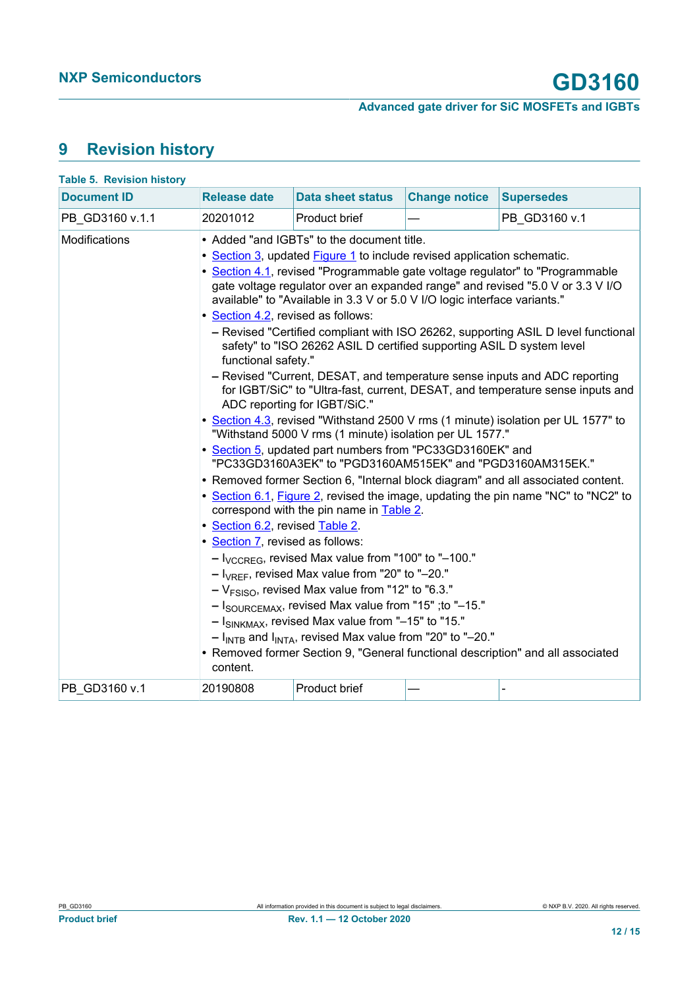# <span id="page-11-1"></span>**9 Revision history**

<span id="page-11-0"></span>

| <b>Table 5. Revision history</b> |                                                                                                                                              |                                                                                                                                                                                                                                                                                                                                                                                                                                                                                                                                                                                                                                                                                                                                                                                                                                                                                                                                                               |                      |                                                                                                                                                                                                                                                                                                                                                                                                                                                                                                                                                                                                                                                                                                                                                                       |
|----------------------------------|----------------------------------------------------------------------------------------------------------------------------------------------|---------------------------------------------------------------------------------------------------------------------------------------------------------------------------------------------------------------------------------------------------------------------------------------------------------------------------------------------------------------------------------------------------------------------------------------------------------------------------------------------------------------------------------------------------------------------------------------------------------------------------------------------------------------------------------------------------------------------------------------------------------------------------------------------------------------------------------------------------------------------------------------------------------------------------------------------------------------|----------------------|-----------------------------------------------------------------------------------------------------------------------------------------------------------------------------------------------------------------------------------------------------------------------------------------------------------------------------------------------------------------------------------------------------------------------------------------------------------------------------------------------------------------------------------------------------------------------------------------------------------------------------------------------------------------------------------------------------------------------------------------------------------------------|
| <b>Document ID</b>               | <b>Release date</b>                                                                                                                          | <b>Data sheet status</b>                                                                                                                                                                                                                                                                                                                                                                                                                                                                                                                                                                                                                                                                                                                                                                                                                                                                                                                                      | <b>Change notice</b> | <b>Supersedes</b>                                                                                                                                                                                                                                                                                                                                                                                                                                                                                                                                                                                                                                                                                                                                                     |
| PB GD3160 v.1.1                  | 20201012                                                                                                                                     | Product brief                                                                                                                                                                                                                                                                                                                                                                                                                                                                                                                                                                                                                                                                                                                                                                                                                                                                                                                                                 |                      | PB GD3160 v.1                                                                                                                                                                                                                                                                                                                                                                                                                                                                                                                                                                                                                                                                                                                                                         |
| Modifications                    | • Section 4.2, revised as follows:<br>functional safety."<br>• Section 6.2, revised Table 2.<br>• Section 7, revised as follows:<br>content. | • Added "and IGBTs" to the document title.<br>• Section 3, updated Figure 1 to include revised application schematic.<br>available" to "Available in 3.3 V or 5.0 V I/O logic interface variants."<br>safety" to "ISO 26262 ASIL D certified supporting ASIL D system level<br>ADC reporting for IGBT/SiC."<br>"Withstand 5000 V rms (1 minute) isolation per UL 1577."<br>• Section 5, updated part numbers from "PC33GD3160EK" and<br>"PC33GD3160A3EK" to "PGD3160AM515EK" and "PGD3160AM315EK."<br>correspond with the pin name in <b>Table 2</b> .<br>$ V_{\text{CCREG}}$ , revised Max value from "100" to "-100."<br>$ I_{VREF}$ , revised Max value from "20" to "-20."<br>$-V_{\text{FSiSO}}$ , revised Max value from "12" to "6.3."<br>- I <sub>SOURCEMAX</sub> , revised Max value from "15"; to "-15."<br>$ ISINKMAX$ , revised Max value from "-15" to "15."<br>$ I_{\text{INTB}}$ and $I_{\text{INTA}}$ , revised Max value from "20" to "-20." |                      | • Section 4.1, revised "Programmable gate voltage regulator" to "Programmable<br>gate voltage regulator over an expanded range" and revised "5.0 V or 3.3 V I/O<br>- Revised "Certified compliant with ISO 26262, supporting ASIL D level functional<br>- Revised "Current, DESAT, and temperature sense inputs and ADC reporting<br>for IGBT/SiC" to "Ultra-fast, current, DESAT, and temperature sense inputs and<br>• Section 4.3, revised "Withstand 2500 V rms (1 minute) isolation per UL 1577" to<br>• Removed former Section 6, "Internal block diagram" and all associated content.<br>• Section 6.1, Figure 2, revised the image, updating the pin name "NC" to "NC2" to<br>• Removed former Section 9, "General functional description" and all associated |
| PB GD3160 v.1                    | 20190808                                                                                                                                     | Product brief                                                                                                                                                                                                                                                                                                                                                                                                                                                                                                                                                                                                                                                                                                                                                                                                                                                                                                                                                 |                      |                                                                                                                                                                                                                                                                                                                                                                                                                                                                                                                                                                                                                                                                                                                                                                       |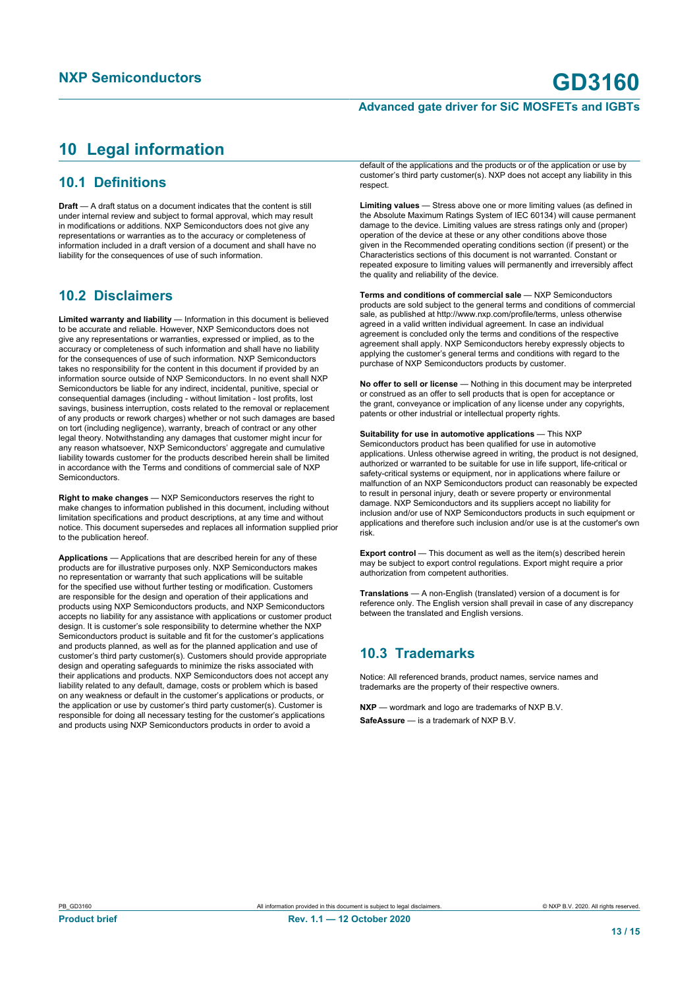## <span id="page-12-0"></span>**10 Legal information**

### **10.1 Definitions**

**Draft** — A draft status on a document indicates that the content is still under internal review and subject to formal approval, which may result in modifications or additions. NXP Semiconductors does not give any representations or warranties as to the accuracy or completeness of information included in a draft version of a document and shall have no liability for the consequences of use of such information.

### **10.2 Disclaimers**

**Limited warranty and liability** — Information in this document is believed to be accurate and reliable. However, NXP Semiconductors does not give any representations or warranties, expressed or implied, as to the accuracy or completeness of such information and shall have no liability for the consequences of use of such information. NXP Semiconductors takes no responsibility for the content in this document if provided by an information source outside of NXP Semiconductors. In no event shall NXP Semiconductors be liable for any indirect, incidental, punitive, special or consequential damages (including - without limitation - lost profits, lost savings, business interruption, costs related to the removal or replacement of any products or rework charges) whether or not such damages are based on tort (including negligence), warranty, breach of contract or any other legal theory. Notwithstanding any damages that customer might incur for any reason whatsoever, NXP Semiconductors' aggregate and cumulative liability towards customer for the products described herein shall be limited in accordance with the Terms and conditions of commercial sale of NXP Semiconductors.

**Right to make changes** — NXP Semiconductors reserves the right to make changes to information published in this document, including without limitation specifications and product descriptions, at any time and without notice. This document supersedes and replaces all information supplied prior to the publication hereof.

**Applications** — Applications that are described herein for any of these products are for illustrative purposes only. NXP Semiconductors makes no representation or warranty that such applications will be suitable for the specified use without further testing or modification. Customers are responsible for the design and operation of their applications and products using NXP Semiconductors products, and NXP Semiconductors accepts no liability for any assistance with applications or customer product design. It is customer's sole responsibility to determine whether the NXP Semiconductors product is suitable and fit for the customer's applications and products planned, as well as for the planned application and use of customer's third party customer(s). Customers should provide appropriate design and operating safeguards to minimize the risks associated with their applications and products. NXP Semiconductors does not accept any liability related to any default, damage, costs or problem which is based on any weakness or default in the customer's applications or products, or the application or use by customer's third party customer(s). Customer is responsible for doing all necessary testing for the customer's applications and products using NXP Semiconductors products in order to avoid a

default of the applications and the products or of the application or use by customer's third party customer(s). NXP does not accept any liability in this respect.

**Limiting values** — Stress above one or more limiting values (as defined in the Absolute Maximum Ratings System of IEC 60134) will cause permanent damage to the device. Limiting values are stress ratings only and (proper) operation of the device at these or any other conditions above those given in the Recommended operating conditions section (if present) or the Characteristics sections of this document is not warranted. Constant or repeated exposure to limiting values will permanently and irreversibly affect the quality and reliability of the device.

**Terms and conditions of commercial sale** — NXP Semiconductors products are sold subject to the general terms and conditions of commercial sale, as published at http://www.nxp.com/profile/terms, unless otherwise agreed in a valid written individual agreement. In case an individual agreement is concluded only the terms and conditions of the respective agreement shall apply. NXP Semiconductors hereby expressly objects to applying the customer's general terms and conditions with regard to the purchase of NXP Semiconductors products by customer.

**No offer to sell or license** — Nothing in this document may be interpreted or construed as an offer to sell products that is open for acceptance or the grant, conveyance or implication of any license under any copyrights, patents or other industrial or intellectual property rights.

**Suitability for use in automotive applications** — This NXP Semiconductors product has been qualified for use in automotive applications. Unless otherwise agreed in writing, the product is not designed, authorized or warranted to be suitable for use in life support, life-critical or safety-critical systems or equipment, nor in applications where failure or malfunction of an NXP Semiconductors product can reasonably be expected to result in personal injury, death or severe property or environmental damage. NXP Semiconductors and its suppliers accept no liability for inclusion and/or use of NXP Semiconductors products in such equipment or applications and therefore such inclusion and/or use is at the customer's own risk.

**Export control** — This document as well as the item(s) described herein may be subject to export control regulations. Export might require a prior authorization from competent authorities.

**Translations** — A non-English (translated) version of a document is for reference only. The English version shall prevail in case of any discrepancy between the translated and English versions.

### **10.3 Trademarks**

Notice: All referenced brands, product names, service names and trademarks are the property of their respective owners.

**NXP** — wordmark and logo are trademarks of NXP B.V. **SafeAssure** — is a trademark of NXP B.V.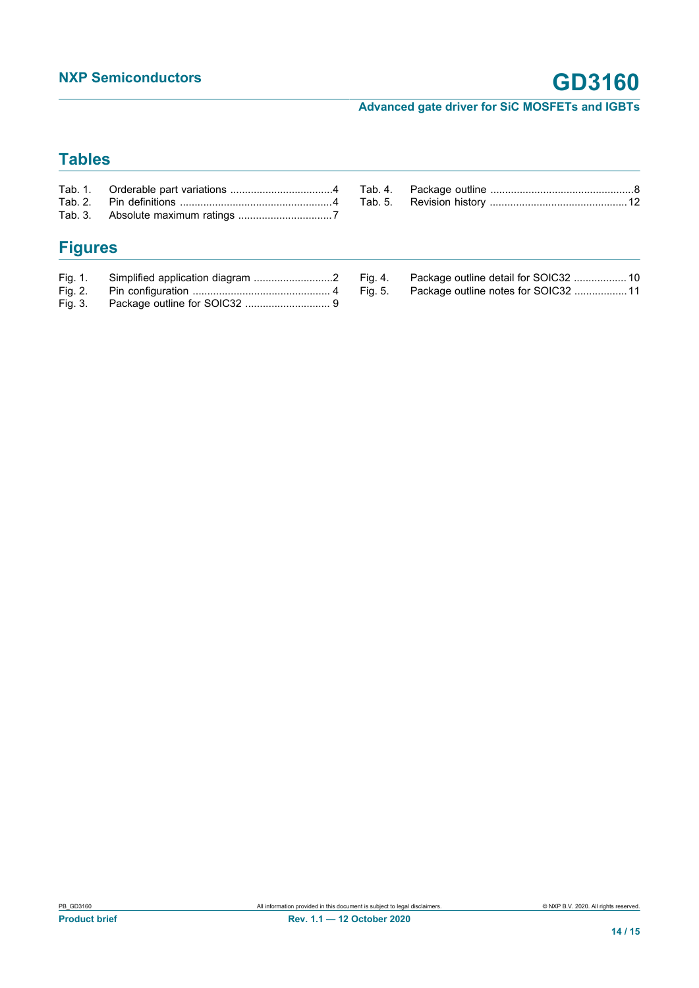## **Tables**

# **Figures**

| Fig. 1. |  |
|---------|--|
| Fig. 2. |  |
| Fig. 3. |  |

| Fig. 4. |                                     |  |
|---------|-------------------------------------|--|
| Fig. 5. | Package outline notes for SOIC32 11 |  |